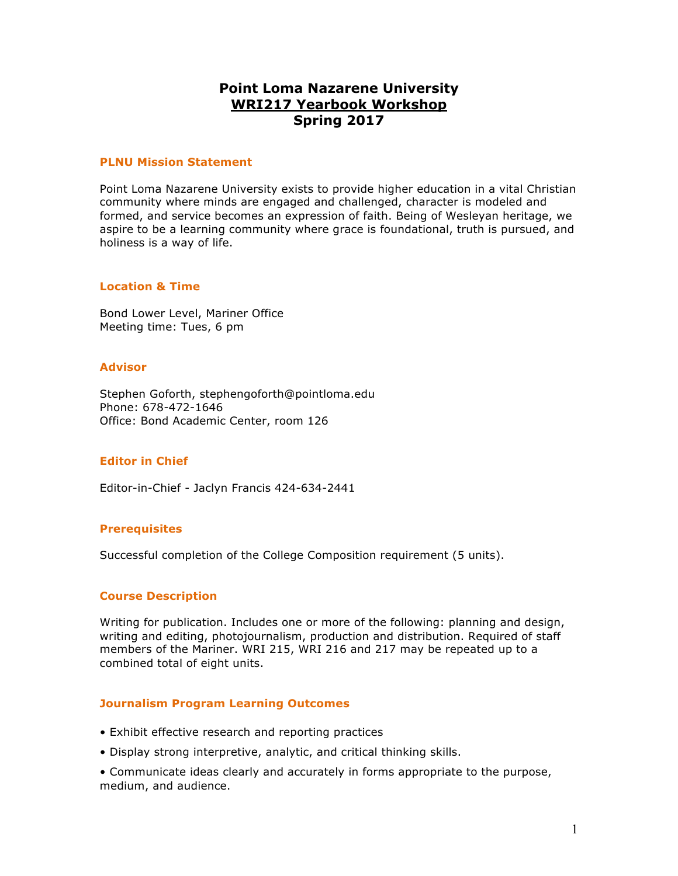# **Point Loma Nazarene University WRI217 Yearbook Workshop Spring 2017**

#### **PLNU Mission Statement**

Point Loma Nazarene University exists to provide higher education in a vital Christian community where minds are engaged and challenged, character is modeled and formed, and service becomes an expression of faith. Being of Wesleyan heritage, we aspire to be a learning community where grace is foundational, truth is pursued, and holiness is a way of life.

# **Location & Time**

Bond Lower Level, Mariner Office Meeting time: Tues, 6 pm

# **Advisor**

Stephen Goforth, stephengoforth@pointloma.edu Phone: 678-472-1646 Office: Bond Academic Center, room 126

# **Editor in Chief**

Editor-in-Chief - Jaclyn Francis 424-634-2441

# **Prerequisites**

Successful completion of the College Composition requirement (5 units).

# **Course Description**

Writing for publication. Includes one or more of the following: planning and design, writing and editing, photojournalism, production and distribution. Required of staff members of the Mariner. WRI 215, WRI 216 and 217 may be repeated up to a combined total of eight units.

# **Journalism Program Learning Outcomes**

- Exhibit effective research and reporting practices
- Display strong interpretive, analytic, and critical thinking skills.

• Communicate ideas clearly and accurately in forms appropriate to the purpose, medium, and audience.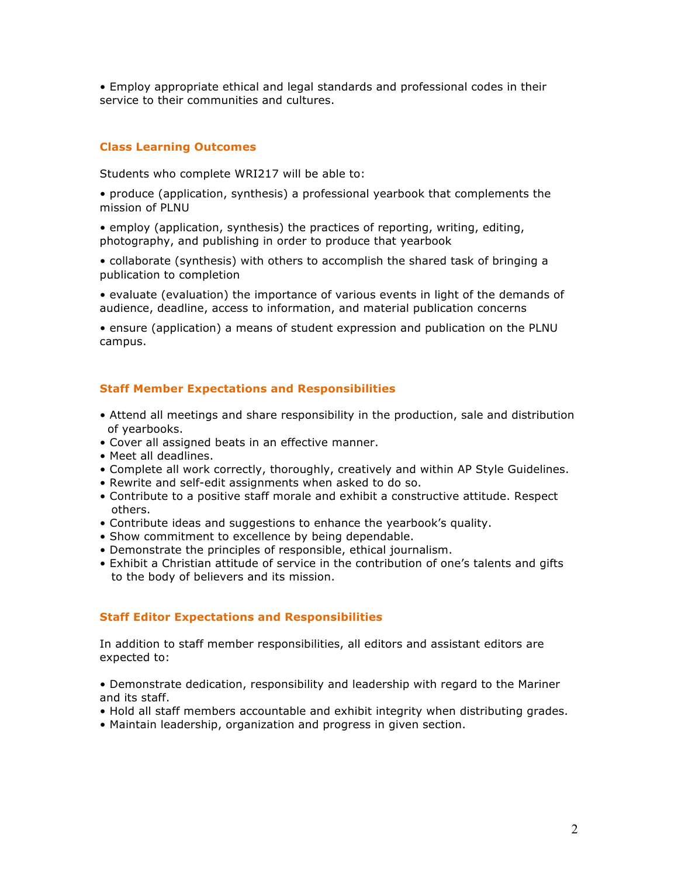• Employ appropriate ethical and legal standards and professional codes in their service to their communities and cultures.

# **Class Learning Outcomes**

Students who complete WRI217 will be able to:

• produce (application, synthesis) a professional yearbook that complements the mission of PLNU

• employ (application, synthesis) the practices of reporting, writing, editing, photography, and publishing in order to produce that yearbook

• collaborate (synthesis) with others to accomplish the shared task of bringing a publication to completion

• evaluate (evaluation) the importance of various events in light of the demands of audience, deadline, access to information, and material publication concerns

• ensure (application) a means of student expression and publication on the PLNU campus.

#### **Staff Member Expectations and Responsibilities**

- Attend all meetings and share responsibility in the production, sale and distribution of yearbooks.
- Cover all assigned beats in an effective manner.
- Meet all deadlines.
- Complete all work correctly, thoroughly, creatively and within AP Style Guidelines.
- Rewrite and self-edit assignments when asked to do so.
- Contribute to a positive staff morale and exhibit a constructive attitude. Respect others.
- Contribute ideas and suggestions to enhance the yearbook's quality.
- Show commitment to excellence by being dependable.
- Demonstrate the principles of responsible, ethical journalism.
- Exhibit a Christian attitude of service in the contribution of one's talents and gifts to the body of believers and its mission.

#### **Staff Editor Expectations and Responsibilities**

In addition to staff member responsibilities, all editors and assistant editors are expected to:

• Demonstrate dedication, responsibility and leadership with regard to the Mariner and its staff.

- Hold all staff members accountable and exhibit integrity when distributing grades.
- Maintain leadership, organization and progress in given section.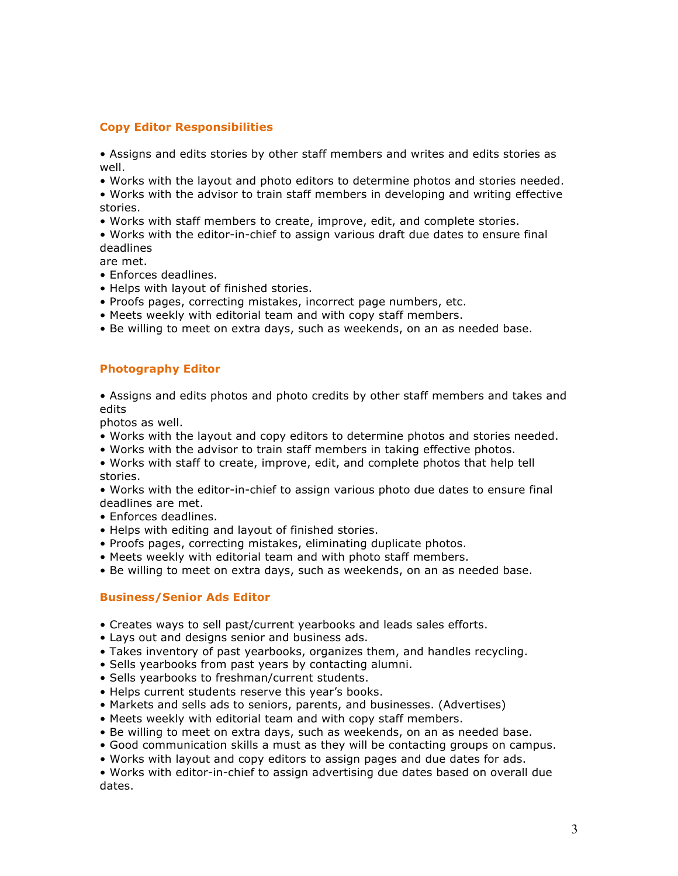# **Copy Editor Responsibilities**

• Assigns and edits stories by other staff members and writes and edits stories as well.

• Works with the layout and photo editors to determine photos and stories needed.

• Works with the advisor to train staff members in developing and writing effective stories.

• Works with staff members to create, improve, edit, and complete stories.

• Works with the editor-in-chief to assign various draft due dates to ensure final deadlines

are met.

- Enforces deadlines.
- Helps with layout of finished stories.
- Proofs pages, correcting mistakes, incorrect page numbers, etc.
- Meets weekly with editorial team and with copy staff members.
- Be willing to meet on extra days, such as weekends, on an as needed base.

# **Photography Editor**

• Assigns and edits photos and photo credits by other staff members and takes and edits

photos as well.

- Works with the layout and copy editors to determine photos and stories needed.
- Works with the advisor to train staff members in taking effective photos.
- Works with staff to create, improve, edit, and complete photos that help tell stories.

• Works with the editor-in-chief to assign various photo due dates to ensure final deadlines are met.

- Enforces deadlines.
- Helps with editing and layout of finished stories.
- Proofs pages, correcting mistakes, eliminating duplicate photos.
- Meets weekly with editorial team and with photo staff members.
- Be willing to meet on extra days, such as weekends, on an as needed base.

# **Business/Senior Ads Editor**

- Creates ways to sell past/current yearbooks and leads sales efforts.
- Lays out and designs senior and business ads.
- Takes inventory of past yearbooks, organizes them, and handles recycling.
- Sells yearbooks from past years by contacting alumni.
- Sells yearbooks to freshman/current students.
- Helps current students reserve this year's books.
- Markets and sells ads to seniors, parents, and businesses. (Advertises)
- Meets weekly with editorial team and with copy staff members.
- Be willing to meet on extra days, such as weekends, on an as needed base.
- Good communication skills a must as they will be contacting groups on campus.
- Works with layout and copy editors to assign pages and due dates for ads.

• Works with editor-in-chief to assign advertising due dates based on overall due dates.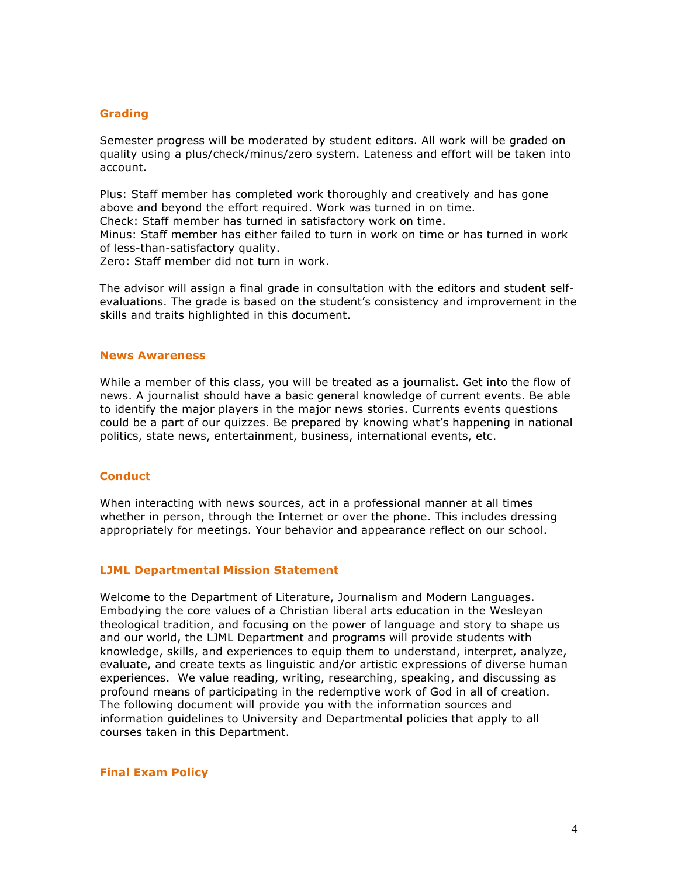#### **Grading**

Semester progress will be moderated by student editors. All work will be graded on quality using a plus/check/minus/zero system. Lateness and effort will be taken into account.

Plus: Staff member has completed work thoroughly and creatively and has gone above and beyond the effort required. Work was turned in on time. Check: Staff member has turned in satisfactory work on time. Minus: Staff member has either failed to turn in work on time or has turned in work of less-than-satisfactory quality. Zero: Staff member did not turn in work.

The advisor will assign a final grade in consultation with the editors and student selfevaluations. The grade is based on the student's consistency and improvement in the skills and traits highlighted in this document.

#### **News Awareness**

While a member of this class, you will be treated as a journalist. Get into the flow of news. A journalist should have a basic general knowledge of current events. Be able to identify the major players in the major news stories. Currents events questions could be a part of our quizzes. Be prepared by knowing what's happening in national politics, state news, entertainment, business, international events, etc.

#### **Conduct**

When interacting with news sources, act in a professional manner at all times whether in person, through the Internet or over the phone. This includes dressing appropriately for meetings. Your behavior and appearance reflect on our school.

#### **LJML Departmental Mission Statement**

Welcome to the Department of Literature, Journalism and Modern Languages. Embodying the core values of a Christian liberal arts education in the Wesleyan theological tradition, and focusing on the power of language and story to shape us and our world, the LJML Department and programs will provide students with knowledge, skills, and experiences to equip them to understand, interpret, analyze, evaluate, and create texts as linguistic and/or artistic expressions of diverse human experiences. We value reading, writing, researching, speaking, and discussing as profound means of participating in the redemptive work of God in all of creation. The following document will provide you with the information sources and information guidelines to University and Departmental policies that apply to all courses taken in this Department.

**Final Exam Policy**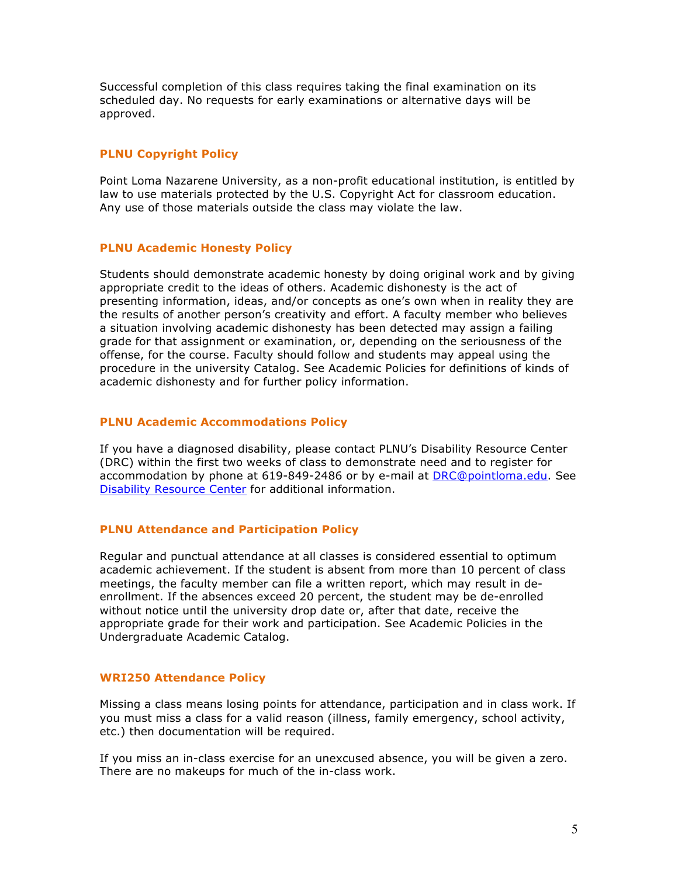Successful completion of this class requires taking the final examination on its scheduled day. No requests for early examinations or alternative days will be approved.

# **PLNU Copyright Policy**

Point Loma Nazarene University, as a non-profit educational institution, is entitled by law to use materials protected by the U.S. Copyright Act for classroom education. Any use of those materials outside the class may violate the law.

# **PLNU Academic Honesty Policy**

Students should demonstrate academic honesty by doing original work and by giving appropriate credit to the ideas of others. Academic dishonesty is the act of presenting information, ideas, and/or concepts as one's own when in reality they are the results of another person's creativity and effort. A faculty member who believes a situation involving academic dishonesty has been detected may assign a failing grade for that assignment or examination, or, depending on the seriousness of the offense, for the course. Faculty should follow and students may appeal using the procedure in the university Catalog. See Academic Policies for definitions of kinds of academic dishonesty and for further policy information.

# **PLNU Academic Accommodations Policy**

If you have a diagnosed disability, please contact PLNU's Disability Resource Center (DRC) within the first two weeks of class to demonstrate need and to register for accommodation by phone at 619-849-2486 or by e-mail at DRC@pointloma.edu. See Disability Resource Center for additional information.

# **PLNU Attendance and Participation Policy**

Regular and punctual attendance at all classes is considered essential to optimum academic achievement. If the student is absent from more than 10 percent of class meetings, the faculty member can file a written report, which may result in deenrollment. If the absences exceed 20 percent, the student may be de-enrolled without notice until the university drop date or, after that date, receive the appropriate grade for their work and participation. See Academic Policies in the Undergraduate Academic Catalog.

# **WRI250 Attendance Policy**

Missing a class means losing points for attendance, participation and in class work. If you must miss a class for a valid reason (illness, family emergency, school activity, etc.) then documentation will be required.

If you miss an in-class exercise for an unexcused absence, you will be given a zero. There are no makeups for much of the in-class work.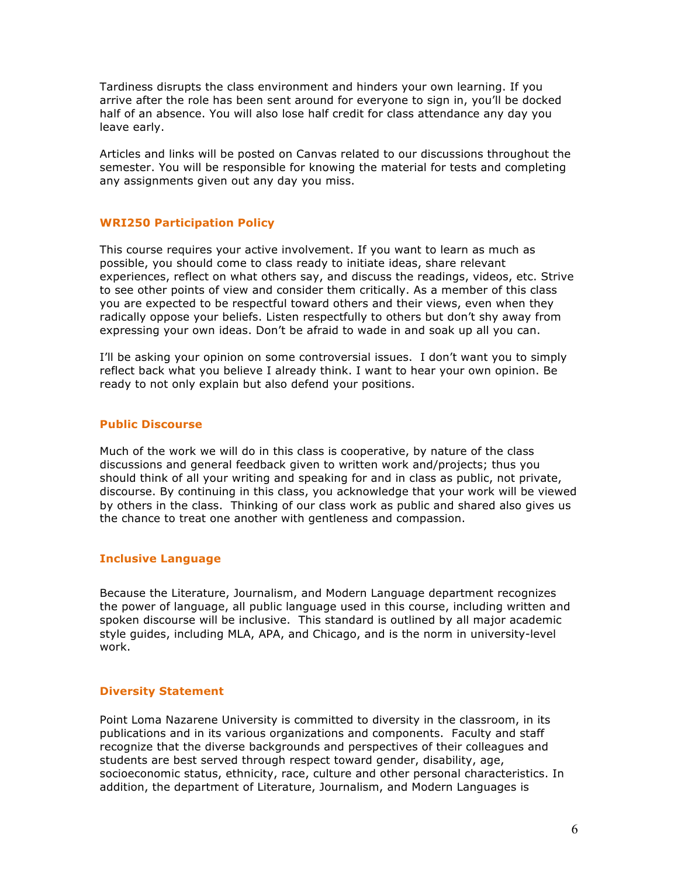Tardiness disrupts the class environment and hinders your own learning. If you arrive after the role has been sent around for everyone to sign in, you'll be docked half of an absence. You will also lose half credit for class attendance any day you leave early.

Articles and links will be posted on Canvas related to our discussions throughout the semester. You will be responsible for knowing the material for tests and completing any assignments given out any day you miss.

# **WRI250 Participation Policy**

This course requires your active involvement. If you want to learn as much as possible, you should come to class ready to initiate ideas, share relevant experiences, reflect on what others say, and discuss the readings, videos, etc. Strive to see other points of view and consider them critically. As a member of this class you are expected to be respectful toward others and their views, even when they radically oppose your beliefs. Listen respectfully to others but don't shy away from expressing your own ideas. Don't be afraid to wade in and soak up all you can.

I'll be asking your opinion on some controversial issues. I don't want you to simply reflect back what you believe I already think. I want to hear your own opinion. Be ready to not only explain but also defend your positions.

# **Public Discourse**

Much of the work we will do in this class is cooperative, by nature of the class discussions and general feedback given to written work and/projects; thus you should think of all your writing and speaking for and in class as public, not private, discourse. By continuing in this class, you acknowledge that your work will be viewed by others in the class. Thinking of our class work as public and shared also gives us the chance to treat one another with gentleness and compassion.

# **Inclusive Language**

Because the Literature, Journalism, and Modern Language department recognizes the power of language, all public language used in this course, including written and spoken discourse will be inclusive. This standard is outlined by all major academic style guides, including MLA, APA, and Chicago, and is the norm in university-level work.

# **Diversity Statement**

Point Loma Nazarene University is committed to diversity in the classroom, in its publications and in its various organizations and components. Faculty and staff recognize that the diverse backgrounds and perspectives of their colleagues and students are best served through respect toward gender, disability, age, socioeconomic status, ethnicity, race, culture and other personal characteristics. In addition, the department of Literature, Journalism, and Modern Languages is